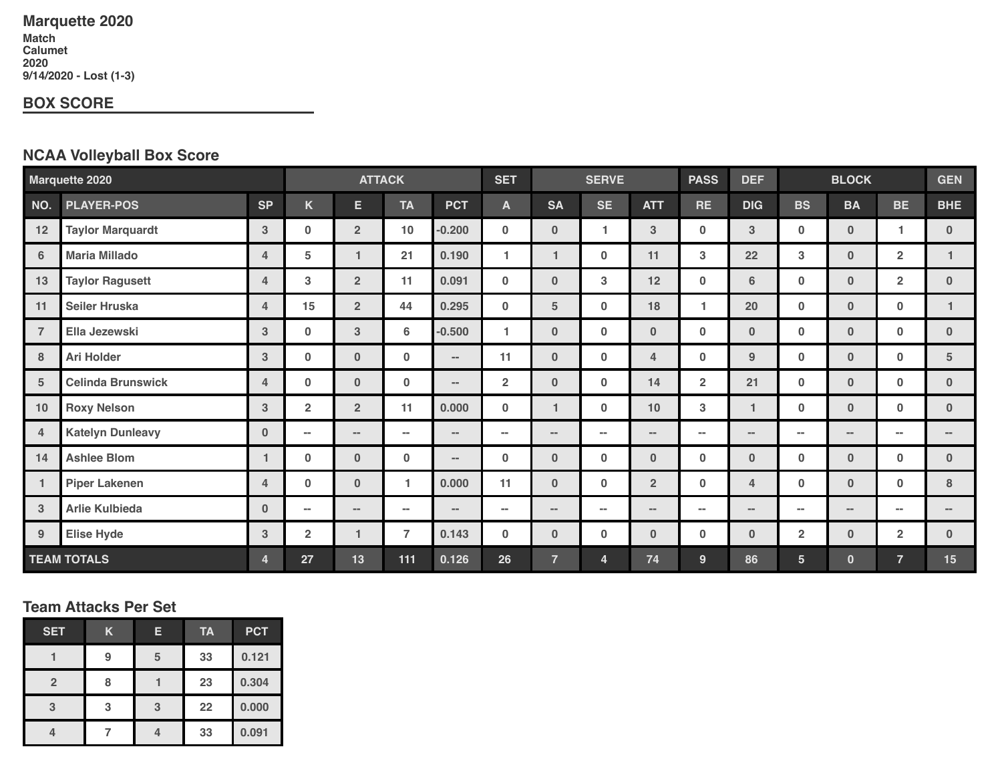# **Marquette 2020**

**Match Calumet 9/14/2020 - Lost (1-3)**

#### **BOX SCORE**

## **NCAA Volleyball Box Score**

| <b>Marquette 2020</b>   |                          | <b>ATTACK</b>  |                         |                | <b>SET</b>     | <b>SERVE</b> |                | <b>PASS</b>    | <b>DEF</b>   | <b>BLOCK</b>   |                | <b>GEN</b>     |                |                |                |              |
|-------------------------|--------------------------|----------------|-------------------------|----------------|----------------|--------------|----------------|----------------|--------------|----------------|----------------|----------------|----------------|----------------|----------------|--------------|
| NO.                     | <b>PLAYER-POS</b>        | <b>SP</b>      | K                       | E.             | <b>TA</b>      | <b>PCT</b>   | A              | <b>SA</b>      | <b>SE</b>    | <b>ATT</b>     | <b>RE</b>      | <b>DIG</b>     | <b>BS</b>      | <b>BA</b>      | <b>BE</b>      | <b>BHE</b>   |
| 12                      | <b>Taylor Marquardt</b>  | 3              | 0                       | $\overline{2}$ | 10             | $-0.200$     | 0              | $\bf{0}$       | $\mathbf{1}$ | 3              | $\mathbf 0$    | 3              | $\bf{0}$       | $\mathbf{0}$   |                | $\mathbf{0}$ |
| $6\phantom{1}6$         | <b>Maria Millado</b>     | 4              | 5                       | 1              | 21             | 0.190        | 1              | $\mathbf{1}$   | $\bf{0}$     | 11             | 3              | 22             | 3              | $\mathbf{0}$   | $\overline{2}$ | $\mathbf{1}$ |
| 13                      | <b>Taylor Ragusett</b>   | 4              | 3                       | $\overline{2}$ | 11             | 0.091        | $\mathbf 0$    | $\bf{0}$       | 3            | 12             | $\bf{0}$       | 6              | $\mathbf{0}$   | $\mathbf{0}$   | $\overline{2}$ | $\mathbf{0}$ |
| 11                      | <b>Seiler Hruska</b>     | 4              | 15                      | $\overline{2}$ | 44             | 0.295        | 0              | $\sqrt{5}$     | $\bf{0}$     | 18             | 1              | 20             | $\bf{0}$       | $\mathbf{0}$   | $\bf{0}$       | $\mathbf{1}$ |
| $\overline{7}$          | Ella Jezewski            | 3 <sup>2</sup> | $\bf{0}$                | 3              | 6              | $-0.500$     | 1              | $\bf{0}$       | $\bf{0}$     | $\bf{0}$       | 0              | $\bf{0}$       | $\mathbf 0$    | $\mathbf{0}$   | $\mathbf 0$    | $\mathbf{0}$ |
| 8                       | <b>Ari Holder</b>        | 3              | $\bf{0}$                | $\bf{0}$       | $\bf{0}$       | $\sim$       | 11             | $\bf{0}$       | $\bf{0}$     | 4              | $\bf{0}$       | 9              | $\mathbf{0}$   | $\mathbf{0}$   | $\mathbf{0}$   | 5            |
| 5                       | <b>Celinda Brunswick</b> | 4              | $\mathbf 0$             | $\bf{0}$       | $\bf{0}$       | $\sim$       | $\overline{2}$ | $\bf{0}$       | $\bf{0}$     | 14             | $\overline{2}$ | 21             | $\mathbf 0$    | $\mathbf{0}$   | $\mathbf 0$    | $\mathbf{0}$ |
| 10                      | <b>Roxy Nelson</b>       | 3              | $\overline{\mathbf{2}}$ | $\overline{2}$ | 11             | 0.000        | $\mathbf 0$    | $\mathbf{1}$   | $\bf{0}$     | 10             | 3              | 1              | $\mathbf 0$    | $\mathbf{0}$   | $\mathbf{0}$   | $\mathbf{0}$ |
| 4                       | <b>Katelyn Dunleavy</b>  | $\mathbf{0}$   | $\sim$                  | $\sim$         | $\sim$         | $\sim$       | $\sim$         | $\sim$         | $\sim$       | $\sim$         | $\sim$         | $\sim$         | $\sim$         | $\sim$         | $\sim$         | $\sim$ $-$   |
| 14                      | <b>Ashlee Blom</b>       | 1              | $\bf{0}$                | $\bf{0}$       | $\bf{0}$       | $\sim$       | $\mathbf 0$    | $\bf{0}$       | $\bf{0}$     | $\mathbf{0}$   | $\mathbf 0$    | $\bf{0}$       | $\mathbf{0}$   | $\mathbf{0}$   | $\mathbf{0}$   | $\mathbf{0}$ |
| $\mathbf{1}$            | <b>Piper Lakenen</b>     | 4              | $\mathbf 0$             | $\bf{0}$       | 1.             | 0.000        | 11             | $\mathbf{0}$   | $\bf{0}$     | $\overline{2}$ | $\bf{0}$       | 4              | $\mathbf{0}$   | $\mathbf{0}$   | $\mathbf{0}$   | 8            |
| $\mathbf{3}$            | <b>Arlie Kulbieda</b>    | $\mathbf{0}$   | $\sim$                  | $\sim$         | н.             | $\sim$       | $\sim$         | $\sim$         | $\sim$       | $\sim$         | $\sim$         | $\sim$         | $\sim$         | $\sim$         | $\sim$         |              |
| 9                       | <b>Elise Hyde</b>        | $3\phantom{a}$ | $\overline{2}$          | 1              | $\overline{7}$ | 0.143        | $\mathbf 0$    | $\bf{0}$       | $\bf{0}$     | $\bf{0}$       | $\mathbf 0$    | $\bf{0}$       | $\overline{2}$ | $\mathbf{0}$   | $\overline{2}$ | $\mathbf{0}$ |
| <b>TEAM TOTALS</b><br>4 |                          | 27             | 13                      | 111            | 0.126          | 26           | $\overline{7}$ | $\overline{4}$ | 74           | 9              | 86             | 5 <sup>5</sup> | $\mathbf{0}$   | $\overline{7}$ | 15             |              |

#### **Team Attacks Per Set**

| <b>SET</b>     | Κ | Е | <b>TA</b> | <b>PCT</b> |  |
|----------------|---|---|-----------|------------|--|
|                | 9 | 5 | 33        | 0.121      |  |
| $\overline{2}$ | я |   | 23        | 0.304      |  |
| 3              | 3 | 3 | 22        | 0.000      |  |
|                |   |   | 33        | 0.091      |  |